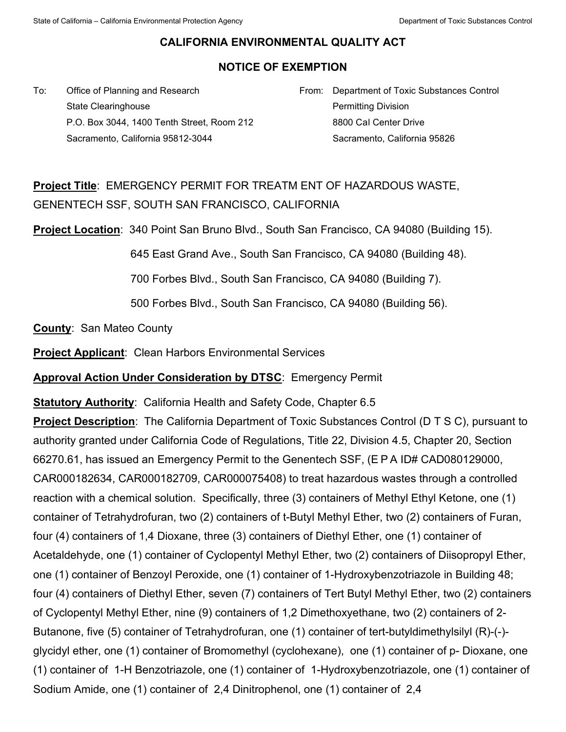## **CALIFORNIA ENVIRONMENTAL QUALITY ACT**

## **NOTICE OF EXEMPTION**

To: Office of Planning and Research State Clearinghouse P.O. Box 3044, 1400 Tenth Street, Room 212 Sacramento, California 95812-3044

From: Department of Toxic Substances Control Permitting Division 8800 Cal Center Drive Sacramento, California 95826

## **Project Title**: EMERGENCY PERMIT FOR TREATM ENT OF HAZARDOUS WASTE, GENENTECH SSF, SOUTH SAN FRANCISCO, CALIFORNIA

**Project Location**: 340 Point San Bruno Blvd., South San Francisco, CA 94080 (Building 15).

645 East Grand Ave., South San Francisco, CA 94080 (Building 48).

700 Forbes Blvd., South San Francisco, CA 94080 (Building 7).

500 Forbes Blvd., South San Francisco, CA 94080 (Building 56).

**County**: San Mateo County

**Project Applicant**: Clean Harbors Environmental Services

**Approval Action Under Consideration by DTSC**: Emergency Permit

**Statutory Authority**: California Health and Safety Code, Chapter 6.5

**Project Description**: The California Department of Toxic Substances Control (D T S C), pursuant to authority granted under California Code of Regulations, Title 22, Division 4.5, Chapter 20, Section 66270.61, has issued an Emergency Permit to the Genentech SSF, (E P A ID# CAD080129000, CAR000182634, CAR000182709, CAR000075408) to treat hazardous wastes through a controlled reaction with a chemical solution. Specifically, three (3) containers of Methyl Ethyl Ketone, one (1) container of Tetrahydrofuran, two (2) containers of t-Butyl Methyl Ether, two (2) containers of Furan, four (4) containers of 1,4 Dioxane, three (3) containers of Diethyl Ether, one (1) container of Acetaldehyde, one (1) container of Cyclopentyl Methyl Ether, two (2) containers of Diisopropyl Ether, one (1) container of Benzoyl Peroxide, one (1) container of 1-Hydroxybenzotriazole in Building 48; four (4) containers of Diethyl Ether, seven (7) containers of Tert Butyl Methyl Ether, two (2) containers of Cyclopentyl Methyl Ether, nine (9) containers of 1,2 Dimethoxyethane, two (2) containers of 2- Butanone, five (5) container of Tetrahydrofuran, one (1) container of tert-butyldimethylsilyl (R)-(-) glycidyl ether, one (1) container of Bromomethyl (cyclohexane), one (1) container of p- Dioxane, one (1) container of 1-H Benzotriazole, one (1) container of 1-Hydroxybenzotriazole, one (1) container of Sodium Amide, one (1) container of 2,4 Dinitrophenol, one (1) container of 2,4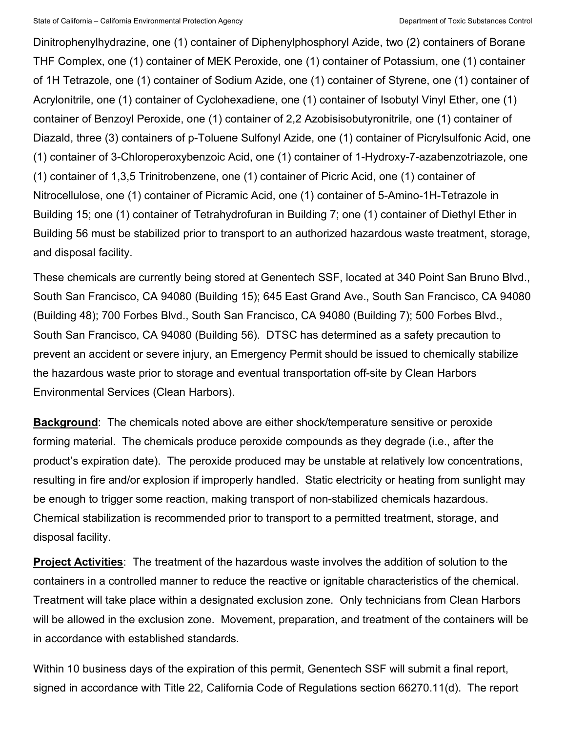Dinitrophenylhydrazine, one (1) container of Diphenylphosphoryl Azide, two (2) containers of Borane THF Complex, one (1) container of MEK Peroxide, one (1) container of Potassium, one (1) container of 1H Tetrazole, one (1) container of Sodium Azide, one (1) container of Styrene, one (1) container of Acrylonitrile, one (1) container of Cyclohexadiene, one (1) container of Isobutyl Vinyl Ether, one (1) container of Benzoyl Peroxide, one (1) container of 2,2 Azobisisobutyronitrile, one (1) container of Diazald, three (3) containers of p-Toluene Sulfonyl Azide, one (1) container of Picrylsulfonic Acid, one (1) container of 3-Chloroperoxybenzoic Acid, one (1) container of 1-Hydroxy-7-azabenzotriazole, one (1) container of 1,3,5 Trinitrobenzene, one (1) container of Picric Acid, one (1) container of Nitrocellulose, one (1) container of Picramic Acid, one (1) container of 5-Amino-1H-Tetrazole in Building 15; one (1) container of Tetrahydrofuran in Building 7; one (1) container of Diethyl Ether in Building 56 must be stabilized prior to transport to an authorized hazardous waste treatment, storage, and disposal facility.

These chemicals are currently being stored at Genentech SSF, located at 340 Point San Bruno Blvd., South San Francisco, CA 94080 (Building 15); 645 East Grand Ave., South San Francisco, CA 94080 (Building 48); 700 Forbes Blvd., South San Francisco, CA 94080 (Building 7); 500 Forbes Blvd., South San Francisco, CA 94080 (Building 56). DTSC has determined as a safety precaution to prevent an accident or severe injury, an Emergency Permit should be issued to chemically stabilize the hazardous waste prior to storage and eventual transportation off-site by Clean Harbors Environmental Services (Clean Harbors).

**Background**: The chemicals noted above are either shock/temperature sensitive or peroxide forming material. The chemicals produce peroxide compounds as they degrade (i.e., after the product's expiration date). The peroxide produced may be unstable at relatively low concentrations, resulting in fire and/or explosion if improperly handled. Static electricity or heating from sunlight may be enough to trigger some reaction, making transport of non-stabilized chemicals hazardous. Chemical stabilization is recommended prior to transport to a permitted treatment, storage, and disposal facility.

**Project Activities**: The treatment of the hazardous waste involves the addition of solution to the containers in a controlled manner to reduce the reactive or ignitable characteristics of the chemical. Treatment will take place within a designated exclusion zone. Only technicians from Clean Harbors will be allowed in the exclusion zone. Movement, preparation, and treatment of the containers will be in accordance with established standards.

Within 10 business days of the expiration of this permit, Genentech SSF will submit a final report, signed in accordance with Title 22, California Code of Regulations section 66270.11(d). The report